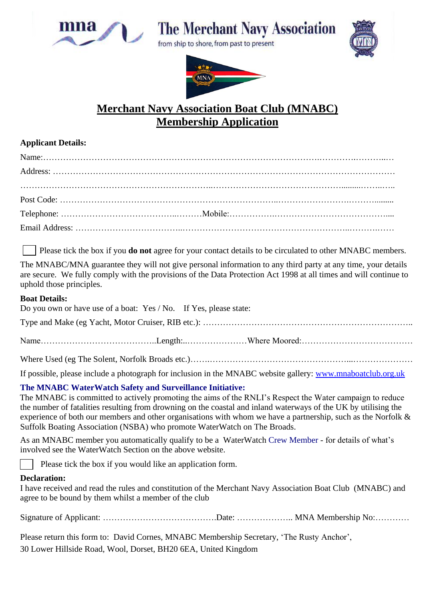

# **The Merchant Navy Association**

from ship to shore, from past to present





### **Merchant Navy Association Boat Club (MNABC) Membership Application**

#### **Applicant Details:**

Please tick the box if you **do not** agree for your contact details to be circulated to other MNABC members.

The MNABC/MNA guarantee they will not give personal information to any third party at any time, your details are secure. We fully comply with the provisions of the Data Protection Act 1998 at all times and will continue to uphold those principles.

#### **Boat Details:**

| Do you own or have use of a boat: Yes / No. If Yes, please state: |  |
|-------------------------------------------------------------------|--|
|                                                                   |  |
|                                                                   |  |
|                                                                   |  |
|                                                                   |  |

If possible, please include a photograph for inclusion in the MNABC website gallery: [www.mnaboatclub.org.uk](http://www.mnaboatclub.org.uk/)

#### **The MNABC WaterWatch Safety and Surveillance Initiative:**

The MNABC is committed to actively promoting the aims of the RNLI's Respect the Water campaign to reduce the number of fatalities resulting from drowning on the coastal and inland waterways of the UK by utilising the experience of both our members and other organisations with whom we have a partnership, such as the Norfolk & Suffolk Boating Association (NSBA) who promote WaterWatch on The Broads.

As an MNABC member you automatically qualify to be a WaterWatch Crew Member - for details of what's involved see the WaterWatch Section on the above website.

Please tick the box if you would like an application form.

#### **Declaration:**

I have received and read the rules and constitution of the Merchant Navy Association Boat Club (MNABC) and agree to be bound by them whilst a member of the club

Signature of Applicant: ………………………………….Date: ……………….. MNA Membership No:…………

Please return this form to: David Cornes, MNABC Membership Secretary, 'The Rusty Anchor', 30 Lower Hillside Road, Wool, Dorset, BH20 6EA, United Kingdom